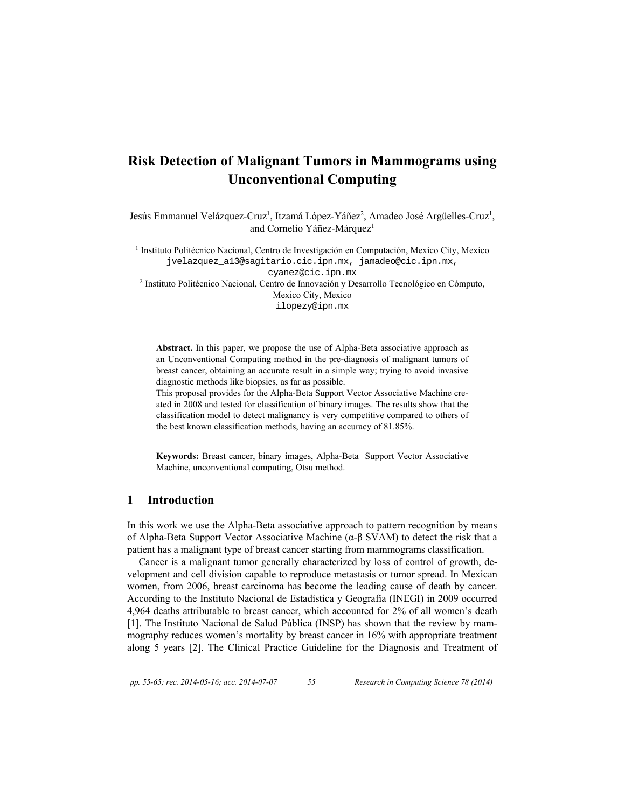Jesús Emmanuel Velázquez-Cruz<sup>1</sup>, Itzamá López-Yáñez<sup>2</sup>, Amadeo José Argüelles-Cruz<sup>1</sup>, and Cornelio Yáñez-Márquez<sup>1</sup>

1 Instituto Politécnico Nacional, Centro de Investigación en Computación, Mexico City, Mexico jvelazquez\_a13@sagitario.cic.ipn.mx, jamadeo@cic.ipn.mx, cyanez@cic.ipn.mx 2 Instituto Politécnico Nacional, Centro de Innovación y Desarrollo Tecnológico en Cómputo, Mexico City, Mexico ilopezy@ipn.mx

**Abstract.** In this paper, we propose the use of Alpha-Beta associative approach as an Unconventional Computing method in the pre-diagnosis of malignant tumors of breast cancer, obtaining an accurate result in a simple way; trying to avoid invasive diagnostic methods like biopsies, as far as possible.

This proposal provides for the Alpha-Beta Support Vector Associative Machine created in 2008 and tested for classification of binary images. The results show that the classification model to detect malignancy is very competitive compared to others of the best known classification methods, having an accuracy of 81.85%.

**Keywords:** Breast cancer, binary images, Alpha-Beta Support Vector Associative Machine, unconventional computing, Otsu method.

## **1 Introduction**

In this work we use the Alpha-Beta associative approach to pattern recognition by means of Alpha-Beta Support Vector Associative Machine (α-β SVAM) to detect the risk that a patient has a malignant type of breast cancer starting from mammograms classification.

Cancer is a malignant tumor generally characterized by loss of control of growth, development and cell division capable to reproduce metastasis or tumor spread. In Mexican women, from 2006, breast carcinoma has become the leading cause of death by cancer. According to the Instituto Nacional de Estadística y Geografía (INEGI) in 2009 occurred 4,964 deaths attributable to breast cancer, which accounted for 2% of all women's death [1]. The Instituto Nacional de Salud Pública (INSP) has shown that the review by mammography reduces women's mortality by breast cancer in 16% with appropriate treatment along 5 years [2]. The Clinical Practice Guideline for the Diagnosis and Treatment of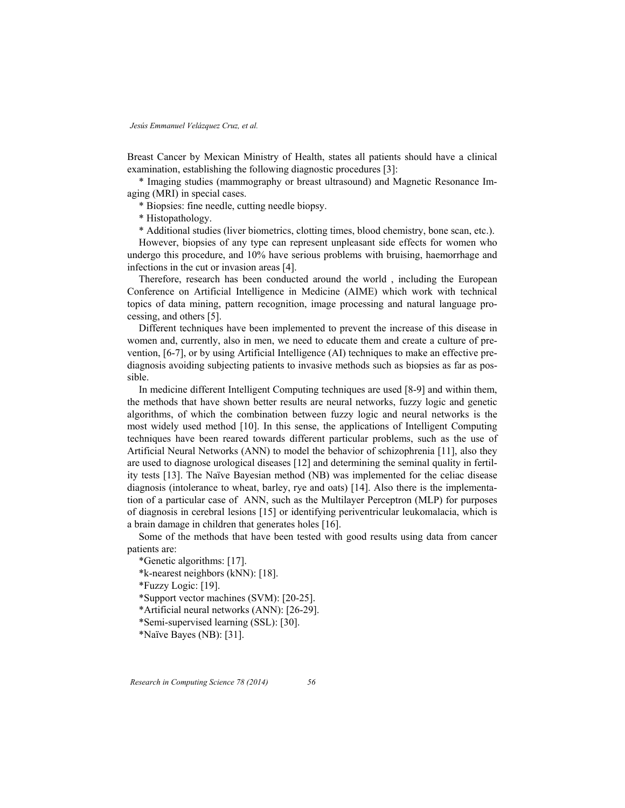Breast Cancer by Mexican Ministry of Health, states all patients should have a clinical examination, establishing the following diagnostic procedures [3]:

\* Imaging studies (mammography or breast ultrasound) and Magnetic Resonance Imaging (MRI) in special cases.

\* Biopsies: fine needle, cutting needle biopsy.

\* Histopathology.

\* Additional studies (liver biometrics, clotting times, blood chemistry, bone scan, etc.).

However, biopsies of any type can represent unpleasant side effects for women who undergo this procedure, and 10% have serious problems with bruising, haemorrhage and infections in the cut or invasion areas [4].

Therefore, research has been conducted around the world , including the European Conference on Artificial Intelligence in Medicine (AIME) which work with technical topics of data mining, pattern recognition, image processing and natural language processing, and others [5].

Different techniques have been implemented to prevent the increase of this disease in women and, currently, also in men, we need to educate them and create a culture of prevention, [6-7], or by using Artificial Intelligence (AI) techniques to make an effective prediagnosis avoiding subjecting patients to invasive methods such as biopsies as far as possible.

In medicine different Intelligent Computing techniques are used [8-9] and within them, the methods that have shown better results are neural networks, fuzzy logic and genetic algorithms, of which the combination between fuzzy logic and neural networks is the most widely used method [10]. In this sense, the applications of Intelligent Computing techniques have been reared towards different particular problems, such as the use of Artificial Neural Networks (ANN) to model the behavior of schizophrenia [11], also they are used to diagnose urological diseases [12] and determining the seminal quality in fertility tests [13]. The Naïve Bayesian method (NB) was implemented for the celiac disease diagnosis (intolerance to wheat, barley, rye and oats) [14]. Also there is the implementation of a particular case of ANN, such as the Multilayer Perceptron (MLP) for purposes of diagnosis in cerebral lesions [15] or identifying periventricular leukomalacia, which is a brain damage in children that generates holes [16].

Some of the methods that have been tested with good results using data from cancer patients are:

\*Genetic algorithms: [17]. \*k-nearest neighbors (kNN): [18]. \*Fuzzy Logic: [19]. \*Support vector machines (SVM): [20-25]. \*Artificial neural networks (ANN): [26-29]. \*Semi-supervised learning (SSL): [30]. \*Naïve Bayes (NB): [31].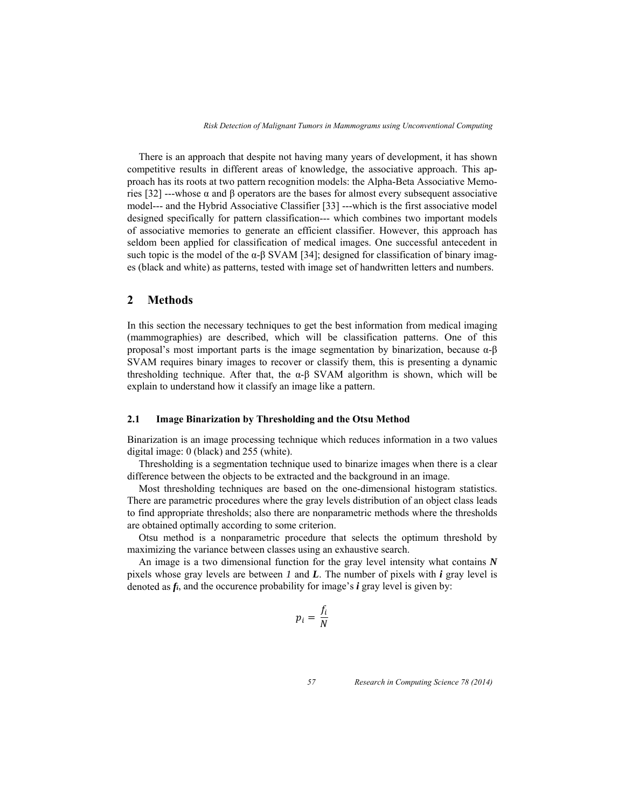There is an approach that despite not having many years of development, it has shown competitive results in different areas of knowledge, the associative approach. This approach has its roots at two pattern recognition models: the Alpha-Beta Associative Memories [32] ---whose α and β operators are the bases for almost every subsequent associative model--- and the Hybrid Associative Classifier [33] ---which is the first associative model designed specifically for pattern classification--- which combines two important models of associative memories to generate an efficient classifier. However, this approach has seldom been applied for classification of medical images. One successful antecedent in such topic is the model of the  $\alpha$ -β SVAM [34]; designed for classification of binary images (black and white) as patterns, tested with image set of handwritten letters and numbers.

#### **2 Methods**

In this section the necessary techniques to get the best information from medical imaging (mammographies) are described, which will be classification patterns. One of this proposal's most important parts is the image segmentation by binarization, because α-β SVAM requires binary images to recover or classify them, this is presenting a dynamic thresholding technique. After that, the  $\alpha$ - $\beta$  SVAM algorithm is shown, which will be explain to understand how it classify an image like a pattern.

#### **2.1 Image Binarization by Thresholding and the Otsu Method**

Binarization is an image processing technique which reduces information in a two values digital image: 0 (black) and 255 (white).

Thresholding is a segmentation technique used to binarize images when there is a clear difference between the objects to be extracted and the background in an image.

Most thresholding techniques are based on the one-dimensional histogram statistics. There are parametric procedures where the gray levels distribution of an object class leads to find appropriate thresholds; also there are nonparametric methods where the thresholds are obtained optimally according to some criterion.

Otsu method is a nonparametric procedure that selects the optimum threshold by maximizing the variance between classes using an exhaustive search.

An image is a two dimensional function for the gray level intensity what contains *N* pixels whose gray levels are between *1* and *L*. The number of pixels with *i* gray level is denoted as *fi*, and the occurence probability for image's *i* gray level is given by:

$$
p_i = \frac{f_i}{N}
$$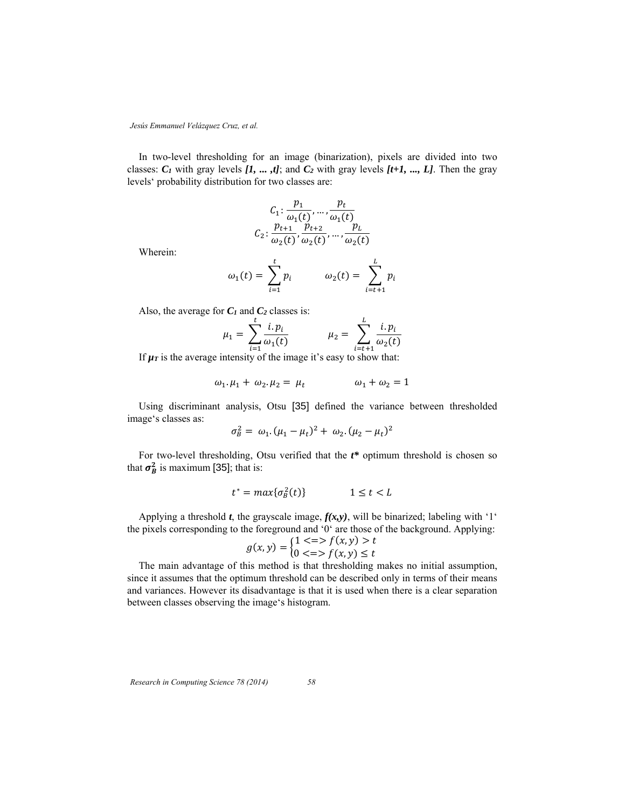In two-level thresholding for an image (binarization), pixels are divided into two classes:  $C_1$  with gray levels  $[I, ..., ,t]$ ; and  $C_2$  with gray levels  $[t+1, ..., L]$ . Then the gray levels' probability distribution for two classes are:

$$
C_1: \frac{p_1}{\omega_1(t)}, \dots, \frac{p_t}{\omega_1(t)}
$$
  

$$
C_2: \frac{p_{t+1}}{\omega_2(t)}, \frac{p_{t+2}}{\omega_2(t)}, \dots, \frac{p_t}{\omega_2(t)}
$$

Wherein:

$$
\omega_1(t) = \sum_{i=1}^t p_i \qquad \qquad \omega_2(t) = \sum_{i=t+1}^L p_i
$$

Also, the average for  $C_1$  and  $C_2$  classes is:

$$
\mu_1 = \sum_{i=1}^{k} \frac{i \cdot p_i}{\omega_1(t)} \qquad \mu_2 = \sum_{i=t+1}^{k} \frac{i \cdot p_i}{\omega_2(t)}
$$

 $\mathbf{r}$ 

If  $\mu$ *r* is the average intensity of the image it's easy to show that:

$$
\omega_1.\mu_1 + \omega_2.\mu_2 = \mu_t \qquad \qquad \omega_1 + \omega_2 = 1
$$

Using discriminant analysis, Otsu [35] defined the variance between thresholded image's classes as:

$$
\sigma_B^2 = \omega_1 \cdot (\mu_1 - \mu_t)^2 + \omega_2 \cdot (\mu_2 - \mu_t)^2
$$

For two-level thresholding, Otsu verified that the  $t^*$  optimum threshold is chosen so that  $\sigma_B^2$  is maximum [35]; that is:

$$
t^* = \max\{\sigma_B^2(t)\} \qquad \qquad 1 \le t < L
$$

Applying a threshold t, the grayscale image,  $f(x, y)$ , will be binarized; labeling with '1' the pixels corresponding to the foreground and '0' are those of the background. Applying:

$$
g(x, y) = \begin{cases} 1 < = > f(x, y) > t \\ 0 < = > f(x, y) \le t \end{cases}
$$

The main advantage of this method is that thresholding makes no initial assumption, since it assumes that the optimum threshold can be described only in terms of their means and variances. However its disadvantage is that it is used when there is a clear separation between classes observing the image's histogram.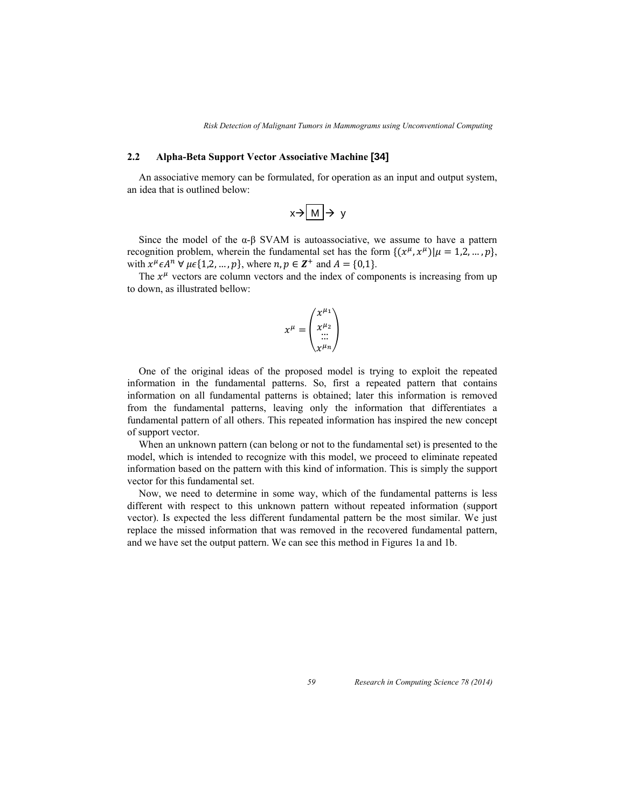#### **2.2 Alpha-Beta Support Vector Associative Machine [34]**

An associative memory can be formulated, for operation as an input and output system, an idea that is outlined below:

$$
x\!\!\rightarrow\!\!\boxed{M}\!\!\rightarrow y
$$

Since the model of the  $\alpha$ -β SVAM is autoassociative, we assume to have a pattern recognition problem, wherein the fundamental set has the form  $\{(x^{\mu}, x^{\mu}) | \mu = 1, 2, ..., p\},\$ with  $x^{\mu} \in A^{n}$   $\forall \mu \in \{1,2,\dots,p\}$ , where  $n, p \in \mathbb{Z}^{+}$  and  $A = \{0,1\}$ .

The  $x^{\mu}$  vectors are column vectors and the index of components is increasing from up to down, as illustrated bellow:

$$
x^{\mu} = \begin{pmatrix} x^{\mu_1} \\ x^{\mu_2} \\ \dots \\ x^{\mu_n} \end{pmatrix}
$$

One of the original ideas of the proposed model is trying to exploit the repeated information in the fundamental patterns. So, first a repeated pattern that contains information on all fundamental patterns is obtained; later this information is removed from the fundamental patterns, leaving only the information that differentiates a fundamental pattern of all others. This repeated information has inspired the new concept of support vector.

When an unknown pattern (can belong or not to the fundamental set) is presented to the model, which is intended to recognize with this model, we proceed to eliminate repeated information based on the pattern with this kind of information. This is simply the support vector for this fundamental set.

Now, we need to determine in some way, which of the fundamental patterns is less different with respect to this unknown pattern without repeated information (support vector). Is expected the less different fundamental pattern be the most similar. We just replace the missed information that was removed in the recovered fundamental pattern, and we have set the output pattern. We can see this method in Figures 1a and 1b.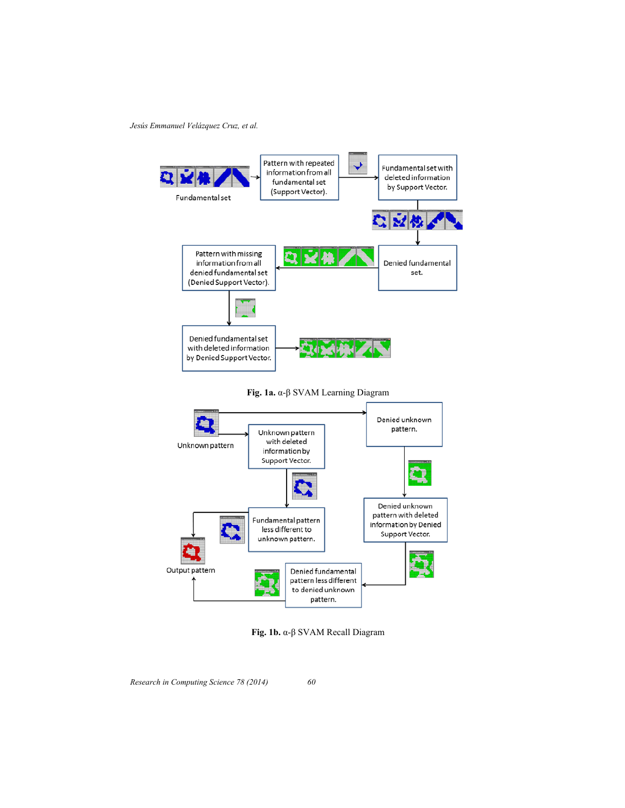



**Fig. 1b.** α-β SVAM Recall Diagram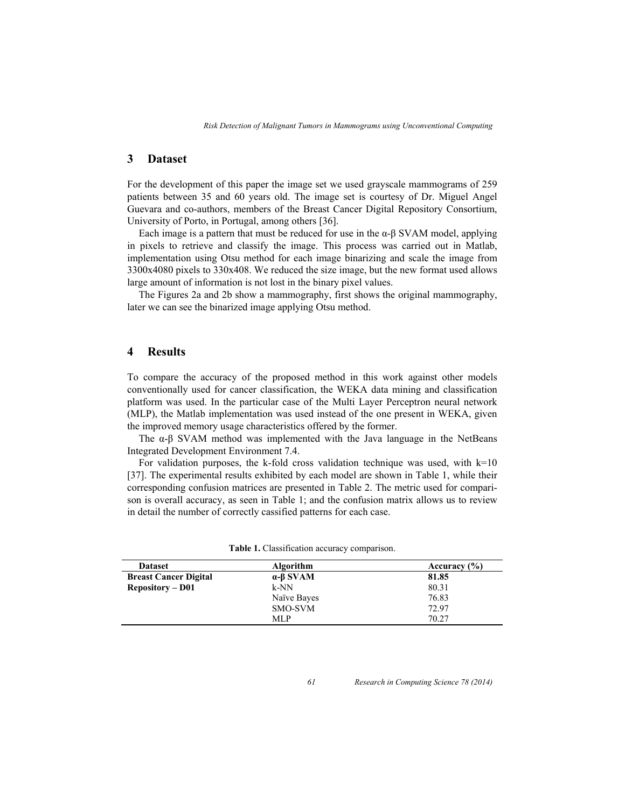### **3 Dataset**

For the development of this paper the image set we used grayscale mammograms of 259 patients between 35 and 60 years old. The image set is courtesy of Dr. Miguel Angel Guevara and co-authors, members of the Breast Cancer Digital Repository Consortium, University of Porto, in Portugal, among others [36].

Each image is a pattern that must be reduced for use in the  $\alpha$ - $\beta$  SVAM model, applying in pixels to retrieve and classify the image. This process was carried out in Matlab, implementation using Otsu method for each image binarizing and scale the image from 3300x4080 pixels to 330x408. We reduced the size image, but the new format used allows large amount of information is not lost in the binary pixel values.

The Figures 2a and 2b show a mammography, first shows the original mammography, later we can see the binarized image applying Otsu method.

### **4 Results**

To compare the accuracy of the proposed method in this work against other models conventionally used for cancer classification, the WEKA data mining and classification platform was used. In the particular case of the Multi Layer Perceptron neural network (MLP), the Matlab implementation was used instead of the one present in WEKA, given the improved memory usage characteristics offered by the former.

The  $\alpha$ -β SVAM method was implemented with the Java language in the NetBeans Integrated Development Environment 7.4.

For validation purposes, the k-fold cross validation technique was used, with  $k=10$ [37]. The experimental results exhibited by each model are shown in Table 1, while their corresponding confusion matrices are presented in Table 2. The metric used for comparison is overall accuracy, as seen in Table 1; and the confusion matrix allows us to review in detail the number of correctly cassified patterns for each case.

| <b>Dataset</b>               | <b>Algorithm</b>        | Accuracy $(\% )$ |
|------------------------------|-------------------------|------------------|
| <b>Breast Cancer Digital</b> | $\alpha$ - $\beta$ SVAM | 81.85            |
| <b>Repository – D01</b>      | k-NN                    | 80.31            |
|                              | Naïve Bayes             | 76.83            |
|                              | SMO-SVM                 | 72.97            |
|                              | MLP                     | 70.27            |

**Table 1.** Classification accuracy comparison.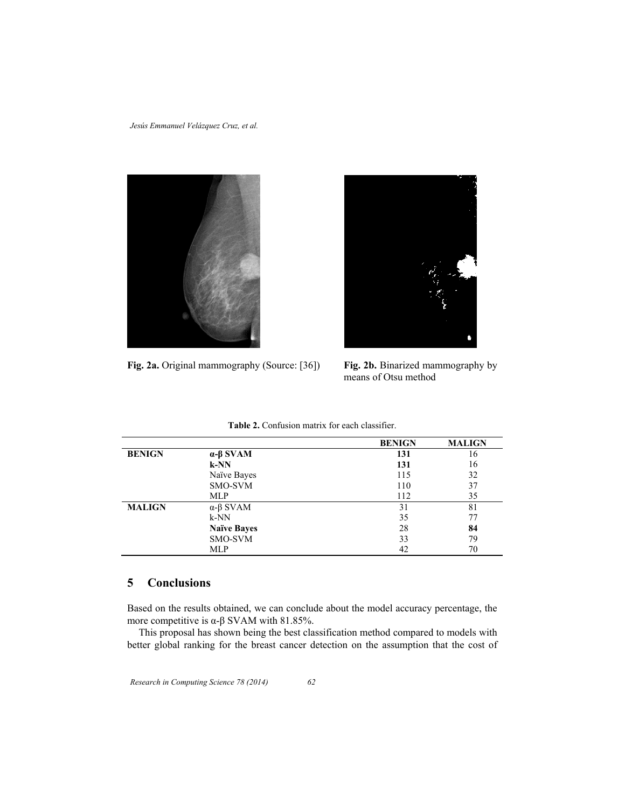



**Fig. 2a.** Original mammography (Source: [36]) **Fig. 2b.** Binarized mammography by

means of Otsu method

|               |                         | <b>BENIGN</b> | <b>MALIGN</b> |
|---------------|-------------------------|---------------|---------------|
| <b>BENIGN</b> | $\alpha$ - $\beta$ SVAM | 131           | 16            |
|               | $k-NN$                  | 131           | 16            |
|               | Naïve Bayes             | 115           | 32            |
|               | SMO-SVM                 | 110           | 37            |
|               | <b>MLP</b>              | 112           | 35            |
| <b>MALIGN</b> | $\alpha$ - $\beta$ SVAM | 31            | 81            |
|               | $k-NN$                  | 35            | 77            |
|               | <b>Naïve Bayes</b>      | 28            | 84            |
|               | SMO-SVM                 | 33            | 79            |
|               | <b>MLP</b>              | 42            | 70            |

**Table 2.** Confusion matrix for each classifier.

## **5 Conclusions**

Based on the results obtained, we can conclude about the model accuracy percentage, the more competitive is  $\alpha$ -β SVAM with 81.85%.

This proposal has shown being the best classification method compared to models with better global ranking for the breast cancer detection on the assumption that the cost of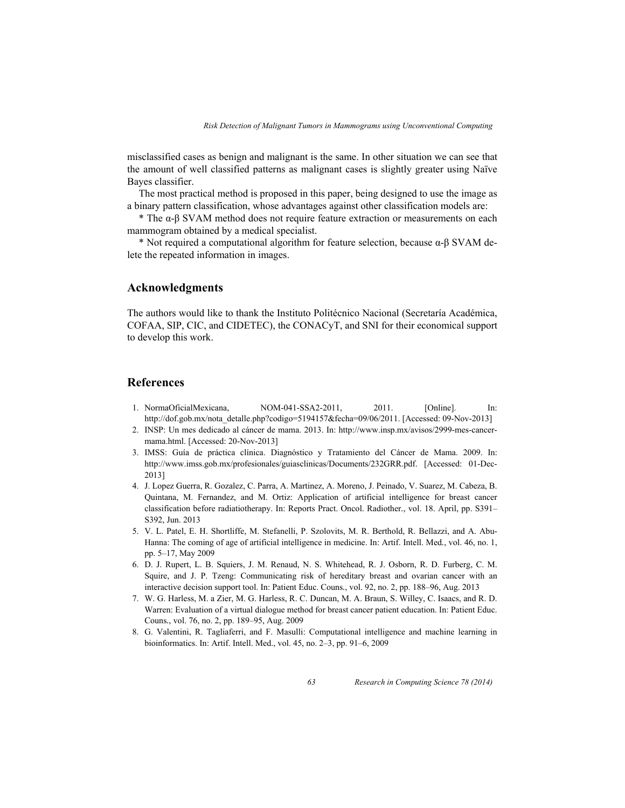misclassified cases as benign and malignant is the same. In other situation we can see that the amount of well classified patterns as malignant cases is slightly greater using Naïve Bayes classifier.

The most practical method is proposed in this paper, being designed to use the image as a binary pattern classification, whose advantages against other classification models are:

\* The α-β SVAM method does not require feature extraction or measurements on each mammogram obtained by a medical specialist.

\* Not required a computational algorithm for feature selection, because  $\alpha$ -β SVAM delete the repeated information in images.

#### **Acknowledgments**

The authors would like to thank the Instituto Politécnico Nacional (Secretaría Académica, COFAA, SIP, CIC, and CIDETEC), the CONACyT, and SNI for their economical support to develop this work.

#### **References**

- 1. NormaOficialMexicana, NOM-041-SSA2-2011, 2011. [Online]. In: http://dof.gob.mx/nota\_detalle.php?codigo=5194157&fecha=09/06/2011. [Accessed: 09-Nov-2013]
- 2. INSP: Un mes dedicado al cáncer de mama. 2013. In: http://www.insp.mx/avisos/2999-mes-cancermama.html. [Accessed: 20-Nov-2013]
- 3. IMSS: Guía de práctica clínica. Diagnóstico y Tratamiento del Cáncer de Mama. 2009. In: http://www.imss.gob.mx/profesionales/guiasclinicas/Documents/232GRR.pdf. [Accessed: 01-Dec-2013]
- 4. J. Lopez Guerra, R. Gozalez, C. Parra, A. Martinez, A. Moreno, J. Peinado, V. Suarez, M. Cabeza, B. Quintana, M. Fernandez, and M. Ortiz: Application of artificial intelligence for breast cancer classification before radiatiotherapy. In: Reports Pract. Oncol. Radiother*.*, vol. 18. April, pp. S391– S392, Jun. 2013
- 5. V. L. Patel, E. H. Shortliffe, M. Stefanelli, P. Szolovits, M. R. Berthold, R. Bellazzi, and A. Abu-Hanna: The coming of age of artificial intelligence in medicine. In: Artif. Intell. Med*.*, vol. 46, no. 1, pp. 5–17, May 2009
- 6. D. J. Rupert, L. B. Squiers, J. M. Renaud, N. S. Whitehead, R. J. Osborn, R. D. Furberg, C. M. Squire, and J. P. Tzeng: Communicating risk of hereditary breast and ovarian cancer with an interactive decision support tool. In: Patient Educ. Couns*.*, vol. 92, no. 2, pp. 188–96, Aug. 2013
- 7. W. G. Harless, M. a Zier, M. G. Harless, R. C. Duncan, M. A. Braun, S. Willey, C. Isaacs, and R. D. Warren: Evaluation of a virtual dialogue method for breast cancer patient education. In: Patient Educ. Couns*.*, vol. 76, no. 2, pp. 189–95, Aug. 2009
- 8. G. Valentini, R. Tagliaferri, and F. Masulli: Computational intelligence and machine learning in bioinformatics. In: Artif. Intell. Med., vol. 45, no. 2–3, pp. 91–6, 2009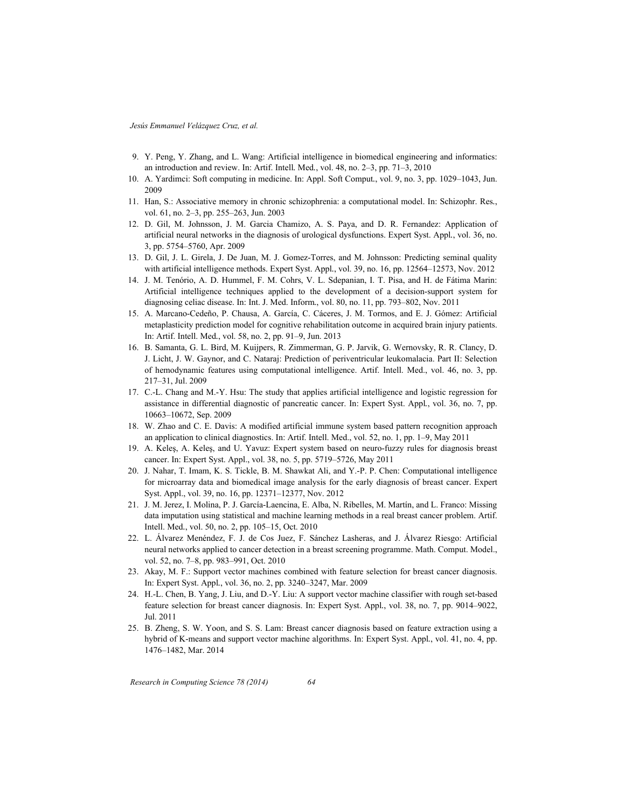- 9. Y. Peng, Y. Zhang, and L. Wang: Artificial intelligence in biomedical engineering and informatics: an introduction and review. In: Artif. Intell*.* Med*.*, vol. 48, no. 2–3, pp. 71–3, 2010
- 10. A. Yardimci: Soft computing in medicine. In: Appl. Soft Comput*.*, vol. 9, no. 3, pp. 1029–1043, Jun. 2009
- 11. Han, S.: Associative memory in chronic schizophrenia: a computational model. In: Schizophr. Res*.*, vol. 61, no. 2–3, pp. 255–263, Jun. 2003
- 12. D. Gil, M. Johnsson, J. M. Garcia Chamizo, A. S. Paya, and D. R. Fernandez: Application of artificial neural networks in the diagnosis of urological dysfunctions. Expert Syst. Appl*.*, vol. 36, no. 3, pp. 5754–5760, Apr. 2009
- 13. D. Gil, J. L. Girela, J. De Juan, M. J. Gomez-Torres, and M. Johnsson: Predicting seminal quality with artificial intelligence methods. Expert Syst. Appl*.*, vol. 39, no. 16, pp. 12564–12573, Nov. 2012
- 14. J. M. Tenório, A. D. Hummel, F. M. Cohrs, V. L. Sdepanian, I. T. Pisa, and H. de Fátima Marin: Artificial intelligence techniques applied to the development of a decision-support system for diagnosing celiac disease. In: Int. J. Med. Inform*.*, vol. 80, no. 11, pp. 793–802, Nov. 2011
- 15. A. Marcano-Cedeño, P. Chausa, A. García, C. Cáceres, J. M. Tormos, and E. J. Gómez: Artificial metaplasticity prediction model for cognitive rehabilitation outcome in acquired brain injury patients. In: Artif. Intell. Med*.*, vol. 58, no. 2, pp. 91–9, Jun. 2013
- 16. B. Samanta, G. L. Bird, M. Kuijpers, R. Zimmerman, G. P. Jarvik, G. Wernovsky, R. R. Clancy, D. J. Licht, J. W. Gaynor, and C. Nataraj: Prediction of periventricular leukomalacia. Part II: Selection of hemodynamic features using computational intelligence. Artif. Intell. Med., vol. 46, no. 3, pp. 217–31, Jul. 2009
- 17. C.-L. Chang and M.-Y. Hsu: The study that applies artificial intelligence and logistic regression for assistance in differential diagnostic of pancreatic cancer. In: Expert Syst. Appl*.*, vol. 36, no. 7, pp. 10663–10672, Sep. 2009
- 18. W. Zhao and C. E. Davis: A modified artificial immune system based pattern recognition approach an application to clinical diagnostics. In: Artif. Intell. Med., vol. 52, no. 1, pp. 1–9, May 2011
- 19. A. Keleş, A. Keleş, and U. Yavuz: Expert system based on neuro-fuzzy rules for diagnosis breast cancer. In: Expert Syst. Appl., vol. 38, no. 5, pp. 5719–5726, May 2011
- 20. J. Nahar, T. Imam, K. S. Tickle, B. M. Shawkat Ali, and Y.-P. P. Chen: Computational intelligence for microarray data and biomedical image analysis for the early diagnosis of breast cancer. Expert Syst. Appl., vol. 39, no. 16, pp. 12371–12377, Nov. 2012
- 21. J. M. Jerez, I. Molina, P. J. García-Laencina, E. Alba, N. Ribelles, M. Martín, and L. Franco: Missing data imputation using statistical and machine learning methods in a real breast cancer problem. Artif. Intell. Med*.*, vol. 50, no. 2, pp. 105–15, Oct. 2010
- 22. L. Álvarez Menéndez, F. J. de Cos Juez, F. Sánchez Lasheras, and J. Álvarez Riesgo: Artificial neural networks applied to cancer detection in a breast screening programme. Math. Comput. Model., vol. 52, no. 7–8, pp. 983–991, Oct. 2010
- 23. Akay, M. F.: Support vector machines combined with feature selection for breast cancer diagnosis. In: Expert Syst. Appl*.*, vol. 36, no. 2, pp. 3240–3247, Mar. 2009
- 24. H.-L. Chen, B. Yang, J. Liu, and D.-Y. Liu: A support vector machine classifier with rough set-based feature selection for breast cancer diagnosis. In: Expert Syst. Appl*.*, vol. 38, no. 7, pp. 9014–9022, Jul. 2011
- 25. B. Zheng, S. W. Yoon, and S. S. Lam: Breast cancer diagnosis based on feature extraction using a hybrid of K-means and support vector machine algorithms. In: Expert Syst. Appl*.*, vol. 41, no. 4, pp. 1476–1482, Mar. 2014